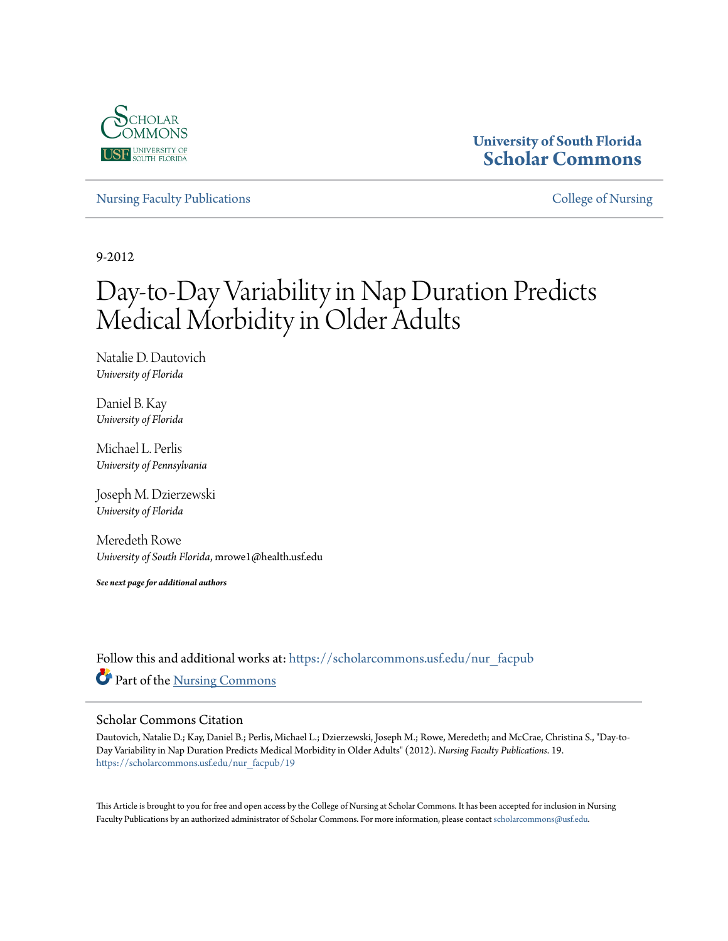

# **University of South Florida [Scholar Commons](https://scholarcommons.usf.edu?utm_source=scholarcommons.usf.edu%2Fnur_facpub%2F19&utm_medium=PDF&utm_campaign=PDFCoverPages)**

[Nursing Faculty Publications](https://scholarcommons.usf.edu/nur_facpub?utm_source=scholarcommons.usf.edu%2Fnur_facpub%2F19&utm_medium=PDF&utm_campaign=PDFCoverPages) **[College of Nursing](https://scholarcommons.usf.edu/nur?utm_source=scholarcommons.usf.edu%2Fnur_facpub%2F19&utm_medium=PDF&utm_campaign=PDFCoverPages)** 

9-2012

# Day-to-Day Variability in Nap Duration Predicts Medical Morbidity in Older Adults

Natalie D. Dautovich *University of Florida*

Daniel B. Kay *University of Florida*

Michael L. Perlis *University of Pennsylvania*

Joseph M. Dzierzewski *University of Florida*

Meredeth Rowe *University of South Florida*, mrowe1@health.usf.edu

*See next page for additional authors*

Follow this and additional works at: [https://scholarcommons.usf.edu/nur\\_facpub](https://scholarcommons.usf.edu/nur_facpub?utm_source=scholarcommons.usf.edu%2Fnur_facpub%2F19&utm_medium=PDF&utm_campaign=PDFCoverPages) Part of the [Nursing Commons](http://network.bepress.com/hgg/discipline/718?utm_source=scholarcommons.usf.edu%2Fnur_facpub%2F19&utm_medium=PDF&utm_campaign=PDFCoverPages)

# Scholar Commons Citation

Dautovich, Natalie D.; Kay, Daniel B.; Perlis, Michael L.; Dzierzewski, Joseph M.; Rowe, Meredeth; and McCrae, Christina S., "Day-to-Day Variability in Nap Duration Predicts Medical Morbidity in Older Adults" (2012). *Nursing Faculty Publications*. 19. [https://scholarcommons.usf.edu/nur\\_facpub/19](https://scholarcommons.usf.edu/nur_facpub/19?utm_source=scholarcommons.usf.edu%2Fnur_facpub%2F19&utm_medium=PDF&utm_campaign=PDFCoverPages)

This Article is brought to you for free and open access by the College of Nursing at Scholar Commons. It has been accepted for inclusion in Nursing Faculty Publications by an authorized administrator of Scholar Commons. For more information, please contact [scholarcommons@usf.edu.](mailto:scholarcommons@usf.edu)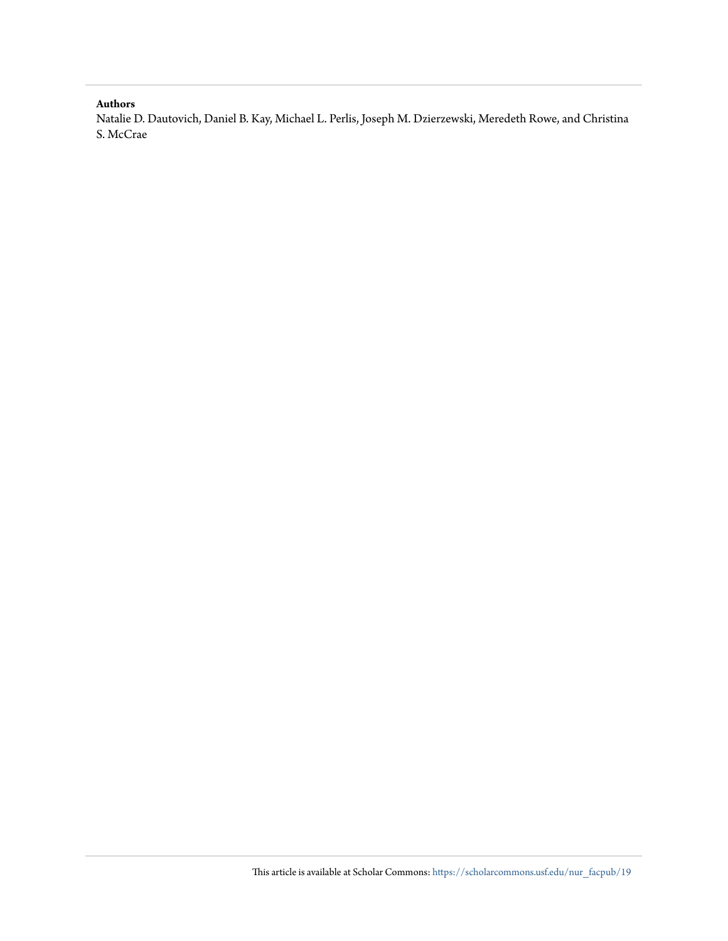# **Authors**

Natalie D. Dautovich, Daniel B. Kay, Michael L. Perlis, Joseph M. Dzierzewski, Meredeth Rowe, and Christina S. McCrae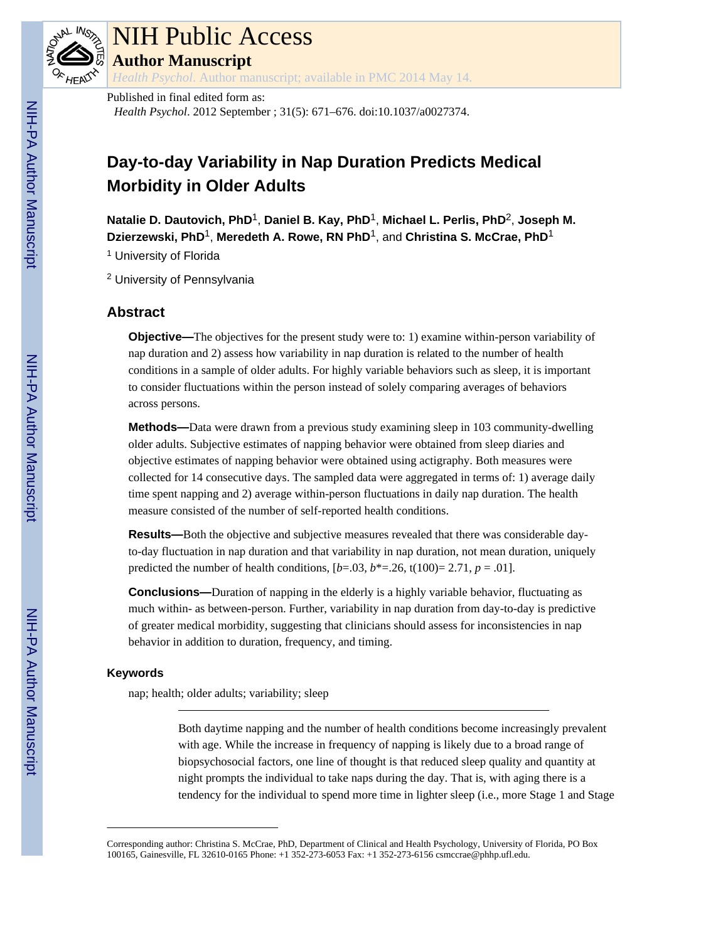

# NIH Public Access

**Author Manuscript**

*Health Psychol*. Author manuscript; available in PMC 2014 May 14.

# Published in final edited form as:

*Health Psychol*. 2012 September ; 31(5): 671–676. doi:10.1037/a0027374.

# **Day-to-day Variability in Nap Duration Predicts Medical Morbidity in Older Adults**

**Natalie D. Dautovich, PhD**1, **Daniel B. Kay, PhD**1, **Michael L. Perlis, PhD**2, **Joseph M. Dzierzewski, PhD**1, **Meredeth A. Rowe, RN PhD**1, and **Christina S. McCrae, PhD**<sup>1</sup>

<sup>1</sup> University of Florida

<sup>2</sup> University of Pennsylvania

# **Abstract**

**Objective—The objectives for the present study were to: 1) examine within-person variability of** nap duration and 2) assess how variability in nap duration is related to the number of health conditions in a sample of older adults. For highly variable behaviors such as sleep, it is important to consider fluctuations within the person instead of solely comparing averages of behaviors across persons.

**Methods—**Data were drawn from a previous study examining sleep in 103 community-dwelling older adults. Subjective estimates of napping behavior were obtained from sleep diaries and objective estimates of napping behavior were obtained using actigraphy. Both measures were collected for 14 consecutive days. The sampled data were aggregated in terms of: 1) average daily time spent napping and 2) average within-person fluctuations in daily nap duration. The health measure consisted of the number of self-reported health conditions.

**Results—**Both the objective and subjective measures revealed that there was considerable dayto-day fluctuation in nap duration and that variability in nap duration, not mean duration, uniquely predicted the number of health conditions,  $[b=.03, b^*=-.26, t(100)=2.71, p=.01]$ .

**Conclusions—**Duration of napping in the elderly is a highly variable behavior, fluctuating as much within- as between-person. Further, variability in nap duration from day-to-day is predictive of greater medical morbidity, suggesting that clinicians should assess for inconsistencies in nap behavior in addition to duration, frequency, and timing.

# **Keywords**

nap; health; older adults; variability; sleep

Both daytime napping and the number of health conditions become increasingly prevalent with age. While the increase in frequency of napping is likely due to a broad range of biopsychosocial factors, one line of thought is that reduced sleep quality and quantity at night prompts the individual to take naps during the day. That is, with aging there is a tendency for the individual to spend more time in lighter sleep (i.e., more Stage 1 and Stage

Corresponding author: Christina S. McCrae, PhD, Department of Clinical and Health Psychology, University of Florida, PO Box 100165, Gainesville, FL 32610-0165 Phone: +1 352-273-6053 Fax: +1 352-273-6156 csmccrae@phhp.ufl.edu.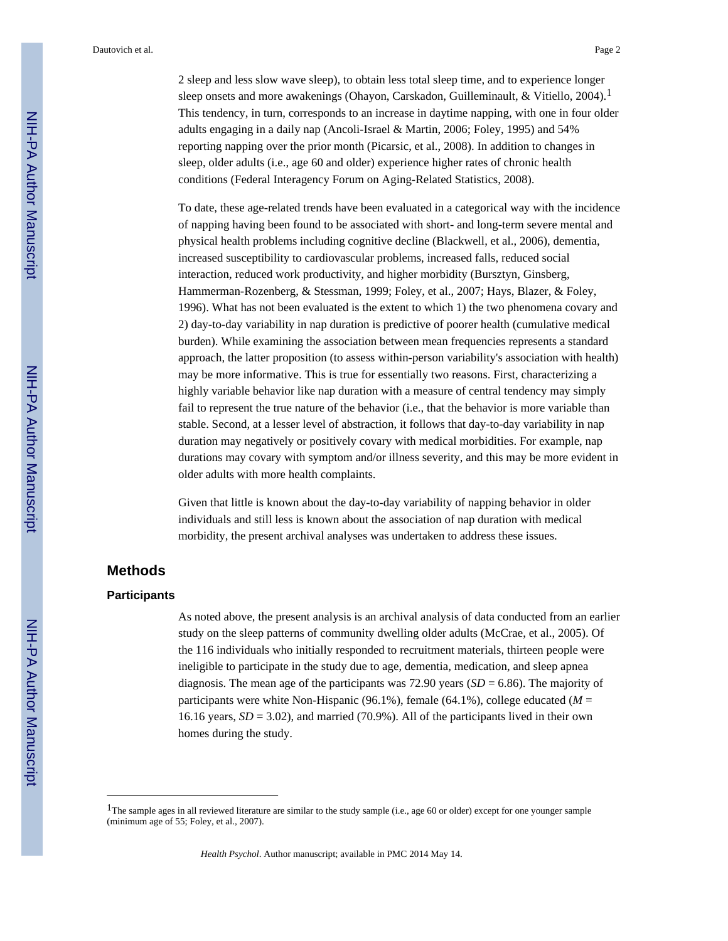2 sleep and less slow wave sleep), to obtain less total sleep time, and to experience longer sleep onsets and more awakenings (Ohayon, Carskadon, Guilleminault, & Vitiello, 2004).<sup>1</sup> This tendency, in turn, corresponds to an increase in daytime napping, with one in four older adults engaging in a daily nap (Ancoli-Israel & Martin, 2006; Foley, 1995) and 54% reporting napping over the prior month (Picarsic, et al., 2008). In addition to changes in sleep, older adults (i.e., age 60 and older) experience higher rates of chronic health conditions (Federal Interagency Forum on Aging-Related Statistics, 2008).

To date, these age-related trends have been evaluated in a categorical way with the incidence of napping having been found to be associated with short- and long-term severe mental and physical health problems including cognitive decline (Blackwell, et al., 2006), dementia, increased susceptibility to cardiovascular problems, increased falls, reduced social interaction, reduced work productivity, and higher morbidity (Bursztyn, Ginsberg, Hammerman-Rozenberg, & Stessman, 1999; Foley, et al., 2007; Hays, Blazer, & Foley, 1996). What has not been evaluated is the extent to which 1) the two phenomena covary and 2) day-to-day variability in nap duration is predictive of poorer health (cumulative medical burden). While examining the association between mean frequencies represents a standard approach, the latter proposition (to assess within-person variability's association with health) may be more informative. This is true for essentially two reasons. First, characterizing a highly variable behavior like nap duration with a measure of central tendency may simply fail to represent the true nature of the behavior (i.e., that the behavior is more variable than stable. Second, at a lesser level of abstraction, it follows that day-to-day variability in nap duration may negatively or positively covary with medical morbidities. For example, nap durations may covary with symptom and/or illness severity, and this may be more evident in older adults with more health complaints.

Given that little is known about the day-to-day variability of napping behavior in older individuals and still less is known about the association of nap duration with medical morbidity, the present archival analyses was undertaken to address these issues.

# **Methods**

### **Participants**

As noted above, the present analysis is an archival analysis of data conducted from an earlier study on the sleep patterns of community dwelling older adults (McCrae, et al., 2005). Of the 116 individuals who initially responded to recruitment materials, thirteen people were ineligible to participate in the study due to age, dementia, medication, and sleep apnea diagnosis. The mean age of the participants was  $72.90$  years  $(SD = 6.86)$ . The majority of participants were white Non-Hispanic (96.1%), female (64.1%), college educated (*M* = 16.16 years, *SD* = 3.02), and married (70.9%). All of the participants lived in their own homes during the study.

<sup>&</sup>lt;sup>1</sup>The sample ages in all reviewed literature are similar to the study sample (i.e., age 60 or older) except for one younger sample (minimum age of 55; Foley, et al., 2007).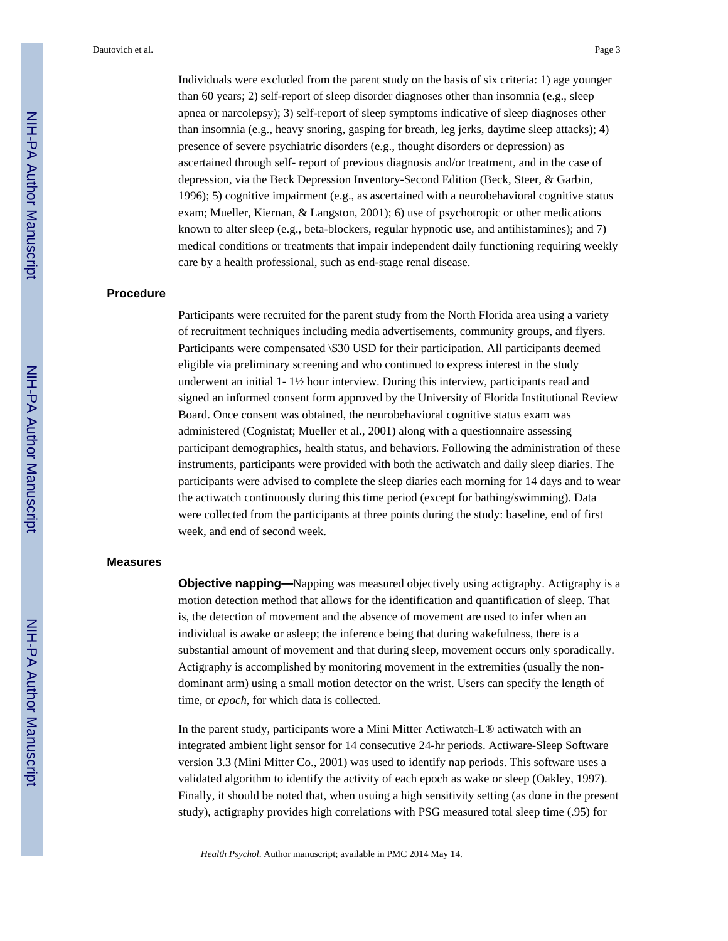Individuals were excluded from the parent study on the basis of six criteria: 1) age younger than 60 years; 2) self-report of sleep disorder diagnoses other than insomnia (e.g., sleep apnea or narcolepsy); 3) self-report of sleep symptoms indicative of sleep diagnoses other than insomnia (e.g., heavy snoring, gasping for breath, leg jerks, daytime sleep attacks); 4) presence of severe psychiatric disorders (e.g., thought disorders or depression) as ascertained through self- report of previous diagnosis and/or treatment, and in the case of depression, via the Beck Depression Inventory-Second Edition (Beck, Steer, & Garbin, 1996); 5) cognitive impairment (e.g., as ascertained with a neurobehavioral cognitive status exam; Mueller, Kiernan, & Langston, 2001); 6) use of psychotropic or other medications known to alter sleep (e.g., beta-blockers, regular hypnotic use, and antihistamines); and 7) medical conditions or treatments that impair independent daily functioning requiring weekly care by a health professional, such as end-stage renal disease.

# **Procedure**

Participants were recruited for the parent study from the North Florida area using a variety of recruitment techniques including media advertisements, community groups, and flyers. Participants were compensated \\$30 USD for their participation. All participants deemed eligible via preliminary screening and who continued to express interest in the study underwent an initial 1- 1½ hour interview. During this interview, participants read and signed an informed consent form approved by the University of Florida Institutional Review Board. Once consent was obtained, the neurobehavioral cognitive status exam was administered (Cognistat; Mueller et al., 2001) along with a questionnaire assessing participant demographics, health status, and behaviors. Following the administration of these instruments, participants were provided with both the actiwatch and daily sleep diaries. The participants were advised to complete the sleep diaries each morning for 14 days and to wear the actiwatch continuously during this time period (except for bathing/swimming). Data were collected from the participants at three points during the study: baseline, end of first week, and end of second week.

# **Measures**

**Objective napping—**Napping was measured objectively using actigraphy. Actigraphy is a motion detection method that allows for the identification and quantification of sleep. That is, the detection of movement and the absence of movement are used to infer when an individual is awake or asleep; the inference being that during wakefulness, there is a substantial amount of movement and that during sleep, movement occurs only sporadically. Actigraphy is accomplished by monitoring movement in the extremities (usually the nondominant arm) using a small motion detector on the wrist. Users can specify the length of time, or *epoch*, for which data is collected.

In the parent study, participants wore a Mini Mitter Actiwatch-L® actiwatch with an integrated ambient light sensor for 14 consecutive 24-hr periods. Actiware-Sleep Software version 3.3 (Mini Mitter Co., 2001) was used to identify nap periods. This software uses a validated algorithm to identify the activity of each epoch as wake or sleep (Oakley, 1997). Finally, it should be noted that, when usuing a high sensitivity setting (as done in the present study), actigraphy provides high correlations with PSG measured total sleep time (.95) for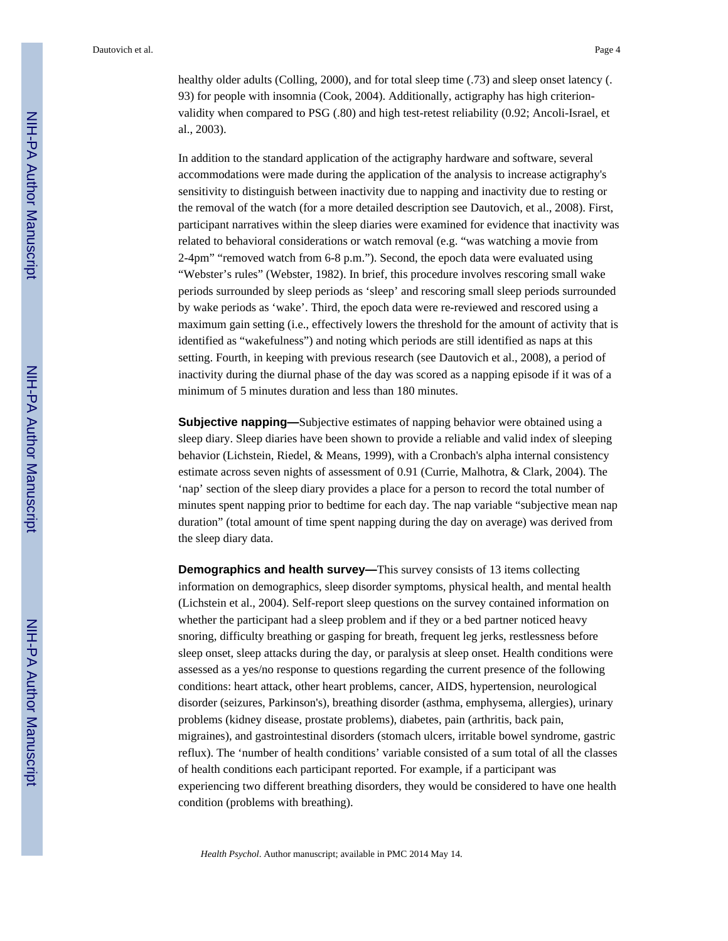healthy older adults (Colling, 2000), and for total sleep time (.73) and sleep onset latency (. 93) for people with insomnia (Cook, 2004). Additionally, actigraphy has high criterionvalidity when compared to PSG (.80) and high test-retest reliability (0.92; Ancoli-Israel, et al., 2003).

In addition to the standard application of the actigraphy hardware and software, several accommodations were made during the application of the analysis to increase actigraphy's sensitivity to distinguish between inactivity due to napping and inactivity due to resting or the removal of the watch (for a more detailed description see Dautovich, et al., 2008). First, participant narratives within the sleep diaries were examined for evidence that inactivity was related to behavioral considerations or watch removal (e.g. "was watching a movie from 2-4pm" "removed watch from 6-8 p.m."). Second, the epoch data were evaluated using "Webster's rules" (Webster, 1982). In brief, this procedure involves rescoring small wake periods surrounded by sleep periods as 'sleep' and rescoring small sleep periods surrounded by wake periods as 'wake'. Third, the epoch data were re-reviewed and rescored using a maximum gain setting (i.e., effectively lowers the threshold for the amount of activity that is identified as "wakefulness") and noting which periods are still identified as naps at this setting. Fourth, in keeping with previous research (see Dautovich et al., 2008), a period of inactivity during the diurnal phase of the day was scored as a napping episode if it was of a minimum of 5 minutes duration and less than 180 minutes.

**Subjective napping—**Subjective estimates of napping behavior were obtained using a sleep diary. Sleep diaries have been shown to provide a reliable and valid index of sleeping behavior (Lichstein, Riedel, & Means, 1999), with a Cronbach's alpha internal consistency estimate across seven nights of assessment of 0.91 (Currie, Malhotra, & Clark, 2004). The 'nap' section of the sleep diary provides a place for a person to record the total number of minutes spent napping prior to bedtime for each day. The nap variable "subjective mean nap duration" (total amount of time spent napping during the day on average) was derived from the sleep diary data.

**Demographics and health survey—This survey consists of 13 items collecting** information on demographics, sleep disorder symptoms, physical health, and mental health (Lichstein et al., 2004). Self-report sleep questions on the survey contained information on whether the participant had a sleep problem and if they or a bed partner noticed heavy snoring, difficulty breathing or gasping for breath, frequent leg jerks, restlessness before sleep onset, sleep attacks during the day, or paralysis at sleep onset. Health conditions were assessed as a yes/no response to questions regarding the current presence of the following conditions: heart attack, other heart problems, cancer, AIDS, hypertension, neurological disorder (seizures, Parkinson's), breathing disorder (asthma, emphysema, allergies), urinary problems (kidney disease, prostate problems), diabetes, pain (arthritis, back pain, migraines), and gastrointestinal disorders (stomach ulcers, irritable bowel syndrome, gastric reflux). The 'number of health conditions' variable consisted of a sum total of all the classes of health conditions each participant reported. For example, if a participant was experiencing two different breathing disorders, they would be considered to have one health condition (problems with breathing).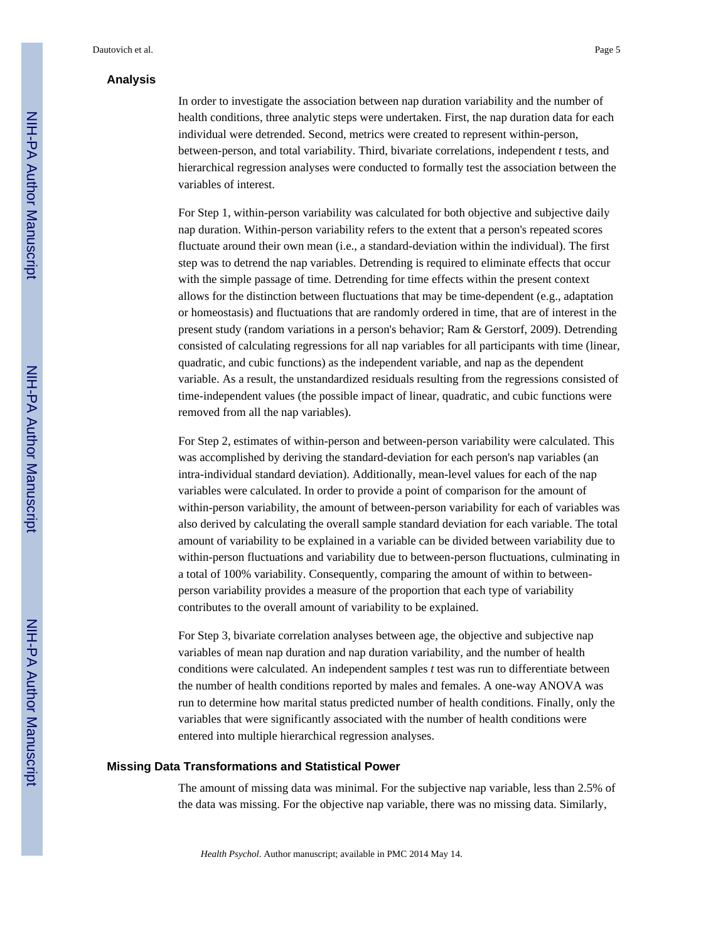# **Analysis**

In order to investigate the association between nap duration variability and the number of health conditions, three analytic steps were undertaken. First, the nap duration data for each individual were detrended. Second, metrics were created to represent within-person, between-person, and total variability. Third, bivariate correlations, independent *t* tests, and hierarchical regression analyses were conducted to formally test the association between the variables of interest.

For Step 1, within-person variability was calculated for both objective and subjective daily nap duration. Within-person variability refers to the extent that a person's repeated scores fluctuate around their own mean (i.e., a standard-deviation within the individual). The first step was to detrend the nap variables. Detrending is required to eliminate effects that occur with the simple passage of time. Detrending for time effects within the present context allows for the distinction between fluctuations that may be time-dependent (e.g., adaptation or homeostasis) and fluctuations that are randomly ordered in time, that are of interest in the present study (random variations in a person's behavior; Ram & Gerstorf, 2009). Detrending consisted of calculating regressions for all nap variables for all participants with time (linear, quadratic, and cubic functions) as the independent variable, and nap as the dependent variable. As a result, the unstandardized residuals resulting from the regressions consisted of time-independent values (the possible impact of linear, quadratic, and cubic functions were removed from all the nap variables).

For Step 2, estimates of within-person and between-person variability were calculated. This was accomplished by deriving the standard-deviation for each person's nap variables (an intra-individual standard deviation). Additionally, mean-level values for each of the nap variables were calculated. In order to provide a point of comparison for the amount of within-person variability, the amount of between-person variability for each of variables was also derived by calculating the overall sample standard deviation for each variable. The total amount of variability to be explained in a variable can be divided between variability due to within-person fluctuations and variability due to between-person fluctuations, culminating in a total of 100% variability. Consequently, comparing the amount of within to betweenperson variability provides a measure of the proportion that each type of variability contributes to the overall amount of variability to be explained.

For Step 3, bivariate correlation analyses between age, the objective and subjective nap variables of mean nap duration and nap duration variability, and the number of health conditions were calculated. An independent samples *t* test was run to differentiate between the number of health conditions reported by males and females. A one-way ANOVA was run to determine how marital status predicted number of health conditions. Finally, only the variables that were significantly associated with the number of health conditions were entered into multiple hierarchical regression analyses.

# **Missing Data Transformations and Statistical Power**

The amount of missing data was minimal. For the subjective nap variable, less than 2.5% of the data was missing. For the objective nap variable, there was no missing data. Similarly,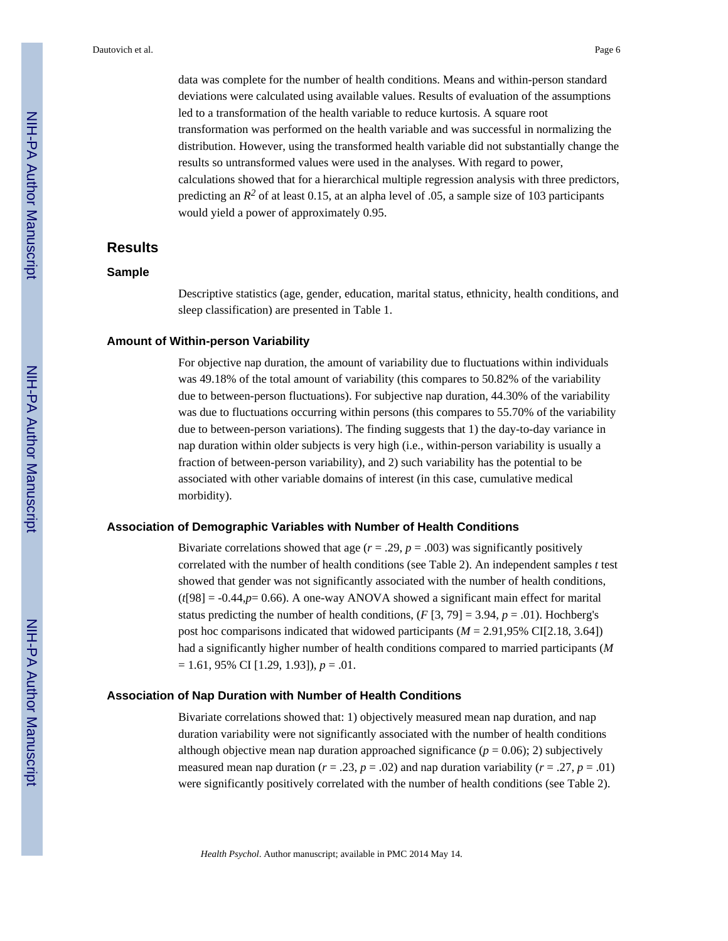data was complete for the number of health conditions. Means and within-person standard deviations were calculated using available values. Results of evaluation of the assumptions led to a transformation of the health variable to reduce kurtosis. A square root transformation was performed on the health variable and was successful in normalizing the distribution. However, using the transformed health variable did not substantially change the results so untransformed values were used in the analyses. With regard to power, calculations showed that for a hierarchical multiple regression analysis with three predictors, predicting an  $R^2$  of at least 0.15, at an alpha level of .05, a sample size of 103 participants would yield a power of approximately 0.95.

# **Results**

#### **Sample**

Descriptive statistics (age, gender, education, marital status, ethnicity, health conditions, and sleep classification) are presented in Table 1.

### **Amount of Within-person Variability**

For objective nap duration, the amount of variability due to fluctuations within individuals was 49.18% of the total amount of variability (this compares to 50.82% of the variability due to between-person fluctuations). For subjective nap duration, 44.30% of the variability was due to fluctuations occurring within persons (this compares to 55.70% of the variability due to between-person variations). The finding suggests that 1) the day-to-day variance in nap duration within older subjects is very high (i.e., within-person variability is usually a fraction of between-person variability), and 2) such variability has the potential to be associated with other variable domains of interest (in this case, cumulative medical morbidity).

#### **Association of Demographic Variables with Number of Health Conditions**

Bivariate correlations showed that age  $(r = .29, p = .003)$  was significantly positively correlated with the number of health conditions (see Table 2). An independent samples *t* test showed that gender was not significantly associated with the number of health conditions,  $(t[98] = -0.44, p= 0.66)$ . A one-way ANOVA showed a significant main effect for marital status predicting the number of health conditions,  $(F[3, 79] = 3.94, p = .01)$ . Hochberg's post hoc comparisons indicated that widowed participants (*M* = 2.91,95% CI[2.18, 3.64]) had a significantly higher number of health conditions compared to married participants (*M* = 1.61, 95% CI [1.29, 1.93]), *p* = .01.

#### **Association of Nap Duration with Number of Health Conditions**

Bivariate correlations showed that: 1) objectively measured mean nap duration, and nap duration variability were not significantly associated with the number of health conditions although objective mean nap duration approached significance  $(p = 0.06)$ ; 2) subjectively measured mean nap duration ( $r = .23$ ,  $p = .02$ ) and nap duration variability ( $r = .27$ ,  $p = .01$ ) were significantly positively correlated with the number of health conditions (see Table 2).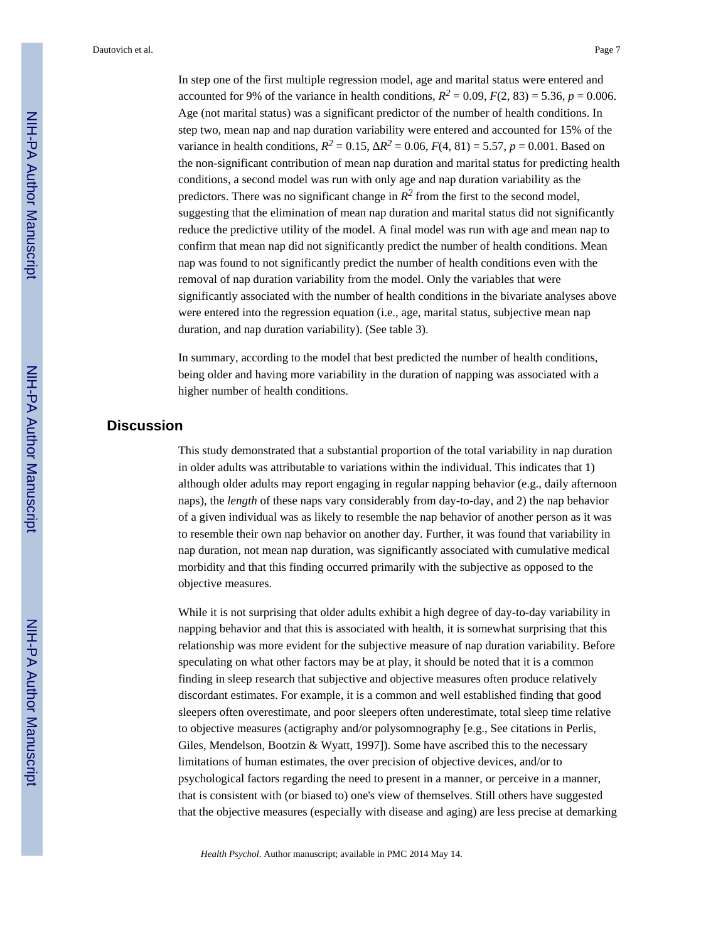In step one of the first multiple regression model, age and marital status were entered and accounted for 9% of the variance in health conditions,  $R^2 = 0.09$ ,  $F(2, 83) = 5.36$ ,  $p = 0.006$ . Age (not marital status) was a significant predictor of the number of health conditions. In step two, mean nap and nap duration variability were entered and accounted for 15% of the variance in health conditions,  $R^2 = 0.15$ ,  $R^2 = 0.06$ ,  $F(4, 81) = 5.57$ ,  $p = 0.001$ . Based on the non-significant contribution of mean nap duration and marital status for predicting health conditions, a second model was run with only age and nap duration variability as the predictors. There was no significant change in  $R^2$  from the first to the second model, suggesting that the elimination of mean nap duration and marital status did not significantly reduce the predictive utility of the model. A final model was run with age and mean nap to confirm that mean nap did not significantly predict the number of health conditions. Mean nap was found to not significantly predict the number of health conditions even with the removal of nap duration variability from the model. Only the variables that were significantly associated with the number of health conditions in the bivariate analyses above were entered into the regression equation (i.e., age, marital status, subjective mean nap duration, and nap duration variability). (See table 3).

In summary, according to the model that best predicted the number of health conditions, being older and having more variability in the duration of napping was associated with a higher number of health conditions.

# **Discussion**

This study demonstrated that a substantial proportion of the total variability in nap duration in older adults was attributable to variations within the individual. This indicates that 1) although older adults may report engaging in regular napping behavior (e.g., daily afternoon naps), the *length* of these naps vary considerably from day-to-day, and 2) the nap behavior of a given individual was as likely to resemble the nap behavior of another person as it was to resemble their own nap behavior on another day. Further, it was found that variability in nap duration, not mean nap duration, was significantly associated with cumulative medical morbidity and that this finding occurred primarily with the subjective as opposed to the objective measures.

While it is not surprising that older adults exhibit a high degree of day-to-day variability in napping behavior and that this is associated with health, it is somewhat surprising that this relationship was more evident for the subjective measure of nap duration variability. Before speculating on what other factors may be at play, it should be noted that it is a common finding in sleep research that subjective and objective measures often produce relatively discordant estimates. For example, it is a common and well established finding that good sleepers often overestimate, and poor sleepers often underestimate, total sleep time relative to objective measures (actigraphy and/or polysomnography [e.g., See citations in Perlis, Giles, Mendelson, Bootzin & Wyatt, 1997]). Some have ascribed this to the necessary limitations of human estimates, the over precision of objective devices, and/or to psychological factors regarding the need to present in a manner, or perceive in a manner, that is consistent with (or biased to) one's view of themselves. Still others have suggested that the objective measures (especially with disease and aging) are less precise at demarking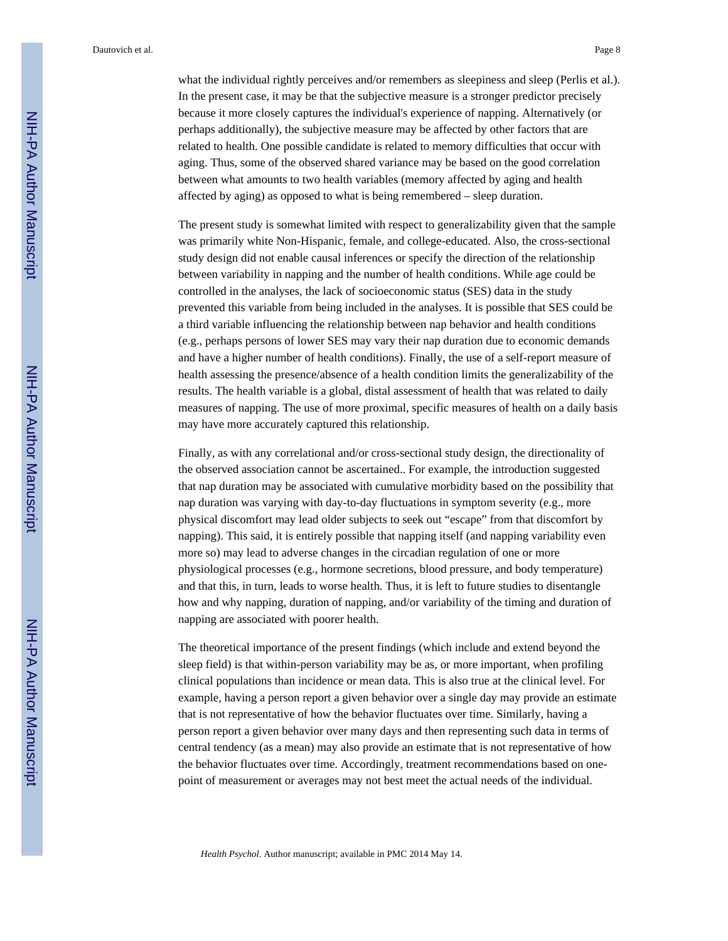what the individual rightly perceives and/or remembers as sleepiness and sleep (Perlis et al.). In the present case, it may be that the subjective measure is a stronger predictor precisely because it more closely captures the individual's experience of napping. Alternatively (or perhaps additionally), the subjective measure may be affected by other factors that are related to health. One possible candidate is related to memory difficulties that occur with aging. Thus, some of the observed shared variance may be based on the good correlation between what amounts to two health variables (memory affected by aging and health affected by aging) as opposed to what is being remembered – sleep duration.

The present study is somewhat limited with respect to generalizability given that the sample was primarily white Non-Hispanic, female, and college-educated. Also, the cross-sectional study design did not enable causal inferences or specify the direction of the relationship between variability in napping and the number of health conditions. While age could be controlled in the analyses, the lack of socioeconomic status (SES) data in the study prevented this variable from being included in the analyses. It is possible that SES could be a third variable influencing the relationship between nap behavior and health conditions (e.g., perhaps persons of lower SES may vary their nap duration due to economic demands and have a higher number of health conditions). Finally, the use of a self-report measure of health assessing the presence/absence of a health condition limits the generalizability of the results. The health variable is a global, distal assessment of health that was related to daily measures of napping. The use of more proximal, specific measures of health on a daily basis may have more accurately captured this relationship.

Finally, as with any correlational and/or cross-sectional study design, the directionality of the observed association cannot be ascertained.. For example, the introduction suggested that nap duration may be associated with cumulative morbidity based on the possibility that nap duration was varying with day-to-day fluctuations in symptom severity (e.g., more physical discomfort may lead older subjects to seek out "escape" from that discomfort by napping). This said, it is entirely possible that napping itself (and napping variability even more so) may lead to adverse changes in the circadian regulation of one or more physiological processes (e.g., hormone secretions, blood pressure, and body temperature) and that this, in turn, leads to worse health. Thus, it is left to future studies to disentangle how and why napping, duration of napping, and/or variability of the timing and duration of napping are associated with poorer health.

The theoretical importance of the present findings (which include and extend beyond the sleep field) is that within-person variability may be as, or more important, when profiling clinical populations than incidence or mean data. This is also true at the clinical level. For example, having a person report a given behavior over a single day may provide an estimate that is not representative of how the behavior fluctuates over time. Similarly, having a person report a given behavior over many days and then representing such data in terms of central tendency (as a mean) may also provide an estimate that is not representative of how the behavior fluctuates over time. Accordingly, treatment recommendations based on onepoint of measurement or averages may not best meet the actual needs of the individual.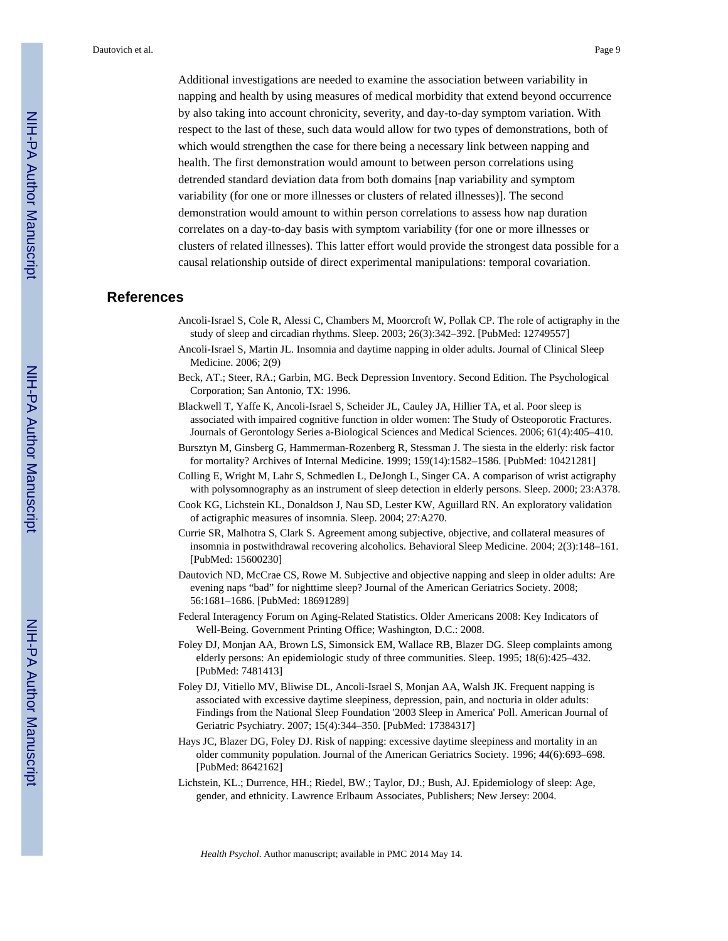Additional investigations are needed to examine the association between variability in napping and health by using measures of medical morbidity that extend beyond occurrence by also taking into account chronicity, severity, and day-to-day symptom variation. With respect to the last of these, such data would allow for two types of demonstrations, both of which would strengthen the case for there being a necessary link between napping and health. The first demonstration would amount to between person correlations using detrended standard deviation data from both domains [nap variability and symptom variability (for one or more illnesses or clusters of related illnesses)]. The second demonstration would amount to within person correlations to assess how nap duration correlates on a day-to-day basis with symptom variability (for one or more illnesses or clusters of related illnesses). This latter effort would provide the strongest data possible for a causal relationship outside of direct experimental manipulations: temporal covariation.

# **References**

- Ancoli-Israel S, Cole R, Alessi C, Chambers M, Moorcroft W, Pollak CP. The role of actigraphy in the study of sleep and circadian rhythms. Sleep. 2003; 26(3):342–392. [PubMed: 12749557]
- Ancoli-Israel S, Martin JL. Insomnia and daytime napping in older adults. Journal of Clinical Sleep Medicine. 2006; 2(9)
- Beck, AT.; Steer, RA.; Garbin, MG. Beck Depression Inventory. Second Edition. The Psychological Corporation; San Antonio, TX: 1996.
- Blackwell T, Yaffe K, Ancoli-Israel S, Scheider JL, Cauley JA, Hillier TA, et al. Poor sleep is associated with impaired cognitive function in older women: The Study of Osteoporotic Fractures. Journals of Gerontology Series a-Biological Sciences and Medical Sciences. 2006; 61(4):405–410.
- Bursztyn M, Ginsberg G, Hammerman-Rozenberg R, Stessman J. The siesta in the elderly: risk factor for mortality? Archives of Internal Medicine. 1999; 159(14):1582–1586. [PubMed: 10421281]
- Colling E, Wright M, Lahr S, Schmedlen L, DeJongh L, Singer CA. A comparison of wrist actigraphy with polysomnography as an instrument of sleep detection in elderly persons. Sleep. 2000; 23:A378.
- Cook KG, Lichstein KL, Donaldson J, Nau SD, Lester KW, Aguillard RN. An exploratory validation of actigraphic measures of insomnia. Sleep. 2004; 27:A270.
- Currie SR, Malhotra S, Clark S. Agreement among subjective, objective, and collateral measures of insomnia in postwithdrawal recovering alcoholics. Behavioral Sleep Medicine. 2004; 2(3):148–161. [PubMed: 15600230]
- Dautovich ND, McCrae CS, Rowe M. Subjective and objective napping and sleep in older adults: Are evening naps "bad" for nighttime sleep? Journal of the American Geriatrics Society. 2008; 56:1681–1686. [PubMed: 18691289]
- Federal Interagency Forum on Aging-Related Statistics. Older Americans 2008: Key Indicators of Well-Being. Government Printing Office; Washington, D.C.: 2008.
- Foley DJ, Monjan AA, Brown LS, Simonsick EM, Wallace RB, Blazer DG. Sleep complaints among elderly persons: An epidemiologic study of three communities. Sleep. 1995; 18(6):425–432. [PubMed: 7481413]
- Foley DJ, Vitiello MV, Bliwise DL, Ancoli-Israel S, Monjan AA, Walsh JK. Frequent napping is associated with excessive daytime sleepiness, depression, pain, and nocturia in older adults: Findings from the National Sleep Foundation '2003 Sleep in America' Poll. American Journal of Geriatric Psychiatry. 2007; 15(4):344–350. [PubMed: 17384317]
- Hays JC, Blazer DG, Foley DJ. Risk of napping: excessive daytime sleepiness and mortality in an older community population. Journal of the American Geriatrics Society. 1996; 44(6):693–698. [PubMed: 8642162]
- Lichstein, KL.; Durrence, HH.; Riedel, BW.; Taylor, DJ.; Bush, AJ. Epidemiology of sleep: Age, gender, and ethnicity. Lawrence Erlbaum Associates, Publishers; New Jersey: 2004.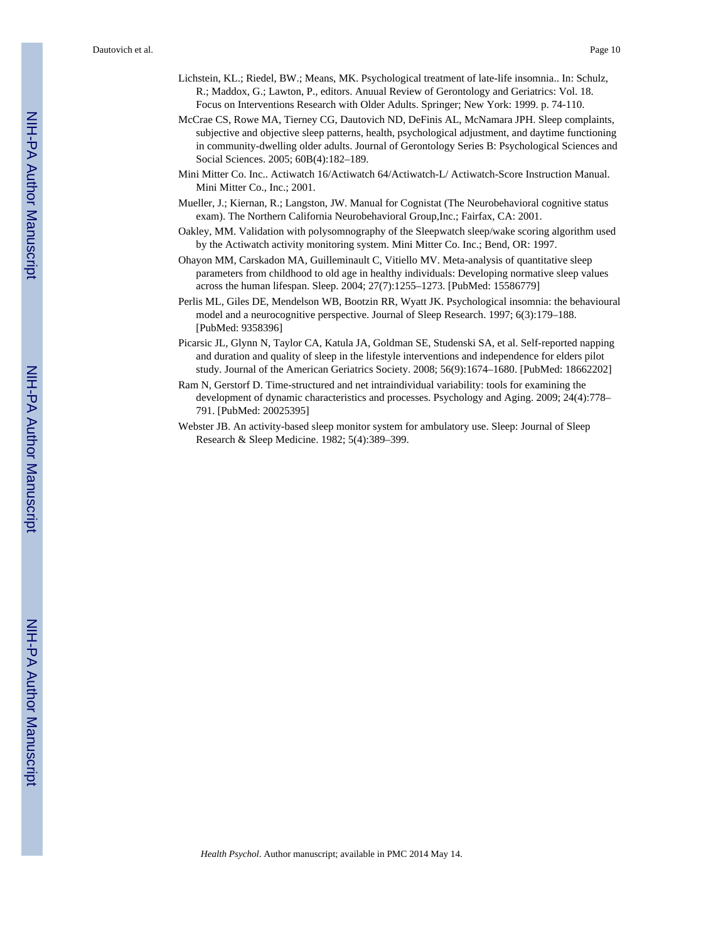- Lichstein, KL.; Riedel, BW.; Means, MK. Psychological treatment of late-life insomnia.. In: Schulz, R.; Maddox, G.; Lawton, P., editors. Anuual Review of Gerontology and Geriatrics: Vol. 18. Focus on Interventions Research with Older Adults. Springer; New York: 1999. p. 74-110.
- McCrae CS, Rowe MA, Tierney CG, Dautovich ND, DeFinis AL, McNamara JPH. Sleep complaints, subjective and objective sleep patterns, health, psychological adjustment, and daytime functioning in community-dwelling older adults. Journal of Gerontology Series B: Psychological Sciences and Social Sciences. 2005; 60B(4):182–189.
- Mini Mitter Co. Inc.. Actiwatch 16/Actiwatch 64/Actiwatch-L/ Actiwatch-Score Instruction Manual. Mini Mitter Co., Inc.; 2001.
- Mueller, J.; Kiernan, R.; Langston, JW. Manual for Cognistat (The Neurobehavioral cognitive status exam). The Northern California Neurobehavioral Group,Inc.; Fairfax, CA: 2001.
- Oakley, MM. Validation with polysomnography of the Sleepwatch sleep/wake scoring algorithm used by the Actiwatch activity monitoring system. Mini Mitter Co. Inc.; Bend, OR: 1997.
- Ohayon MM, Carskadon MA, Guilleminault C, Vitiello MV. Meta-analysis of quantitative sleep parameters from childhood to old age in healthy individuals: Developing normative sleep values across the human lifespan. Sleep. 2004; 27(7):1255–1273. [PubMed: 15586779]
- Perlis ML, Giles DE, Mendelson WB, Bootzin RR, Wyatt JK. Psychological insomnia: the behavioural model and a neurocognitive perspective. Journal of Sleep Research. 1997; 6(3):179–188. [PubMed: 9358396]
- Picarsic JL, Glynn N, Taylor CA, Katula JA, Goldman SE, Studenski SA, et al. Self-reported napping and duration and quality of sleep in the lifestyle interventions and independence for elders pilot study. Journal of the American Geriatrics Society. 2008; 56(9):1674–1680. [PubMed: 18662202]
- Ram N, Gerstorf D. Time-structured and net intraindividual variability: tools for examining the development of dynamic characteristics and processes. Psychology and Aging. 2009; 24(4):778– 791. [PubMed: 20025395]
- Webster JB. An activity-based sleep monitor system for ambulatory use. Sleep: Journal of Sleep Research & Sleep Medicine. 1982; 5(4):389–399.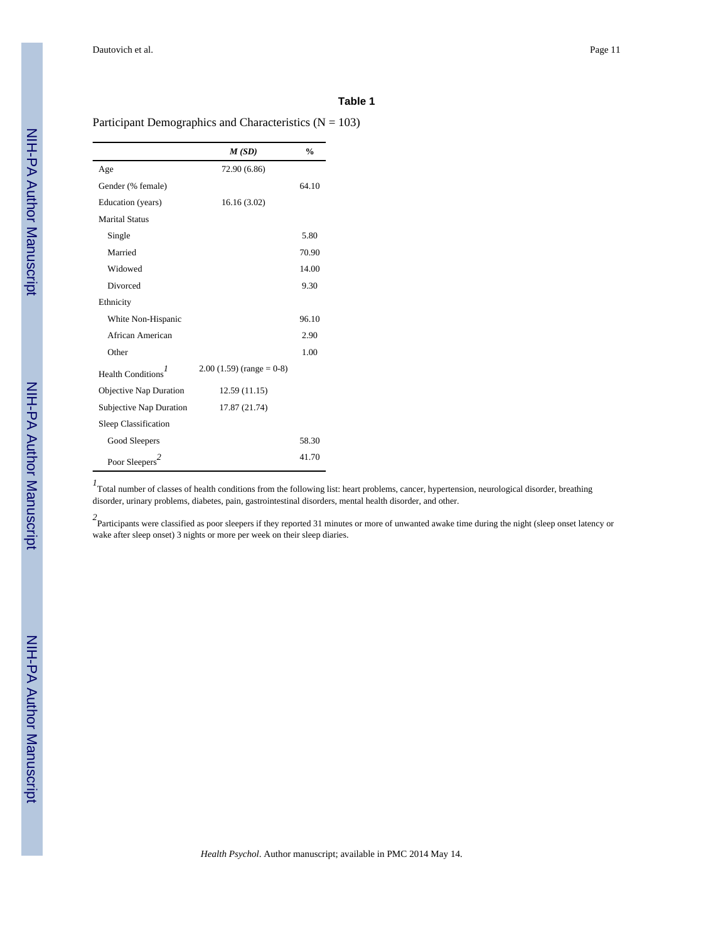# **Table 1**

Participant Demographics and Characteristics ( $N = 103$ )

|                                | M(SD)                      | $\frac{0}{0}$ |
|--------------------------------|----------------------------|---------------|
| Age                            | 72.90 (6.86)               |               |
| Gender (% female)              |                            | 64.10         |
| Education (years)              | 16.16(3.02)                |               |
| <b>Marital Status</b>          |                            |               |
| Single                         |                            | 5.80          |
| Married                        |                            | 70.90         |
| Widowed                        |                            | 14.00         |
| Divorced                       |                            | 9.30          |
| Ethnicity                      |                            |               |
| White Non-Hispanic             |                            | 96.10         |
| African American               |                            | 2.90          |
| Other                          |                            | 1.00          |
| Health Conditions <sup>1</sup> | $2.00(1.59)$ (range = 0-8) |               |
| Objective Nap Duration         | 12.59 (11.15)              |               |
| Subjective Nap Duration        | 17.87 (21.74)              |               |
| Sleep Classification           |                            |               |
| Good Sleepers                  |                            | 58.30         |
| Poor Sleepers <sup>2</sup>     |                            | 41.70         |

<sup>1</sup> Total number of classes of health conditions from the following list: heart problems, cancer, hypertension, neurological disorder, breathing disorder, urinary problems, diabetes, pain, gastrointestinal disorders, mental health disorder, and other.

<sup>2</sup> Participants were classified as poor sleepers if they reported 31 minutes or more of unwanted awake time during the night (sleep onset latency or wake after sleep onset) 3 nights or more per week on their sleep diaries.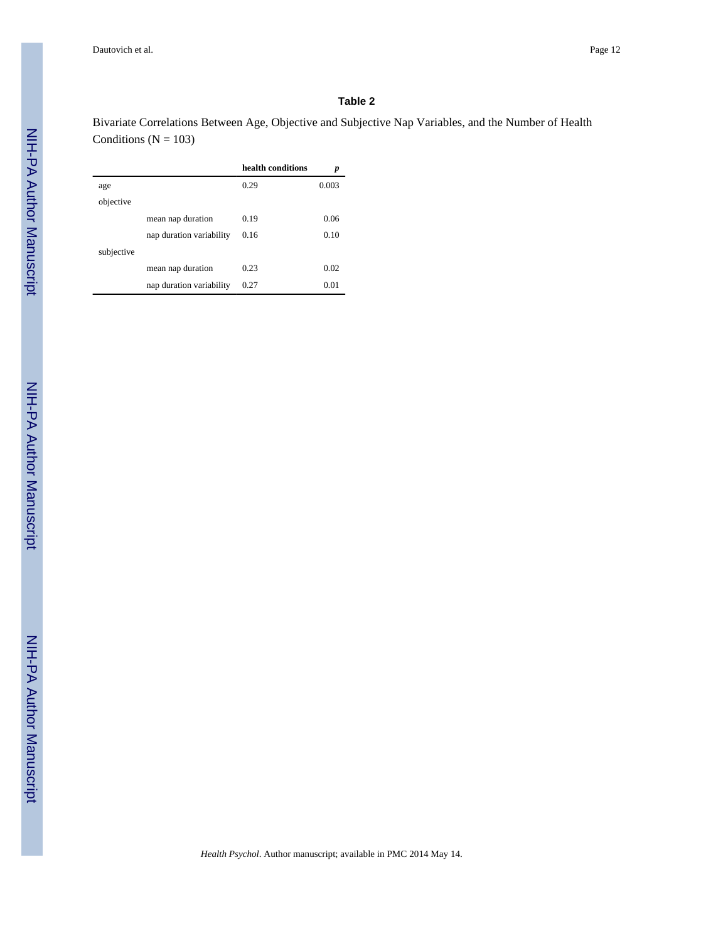# **Table 2**

Bivariate Correlations Between Age, Objective and Subjective Nap Variables, and the Number of Health Conditions ( $N = 103$ )

|            |                          | health conditions | p     |
|------------|--------------------------|-------------------|-------|
| age        |                          | 0.29              | 0.003 |
| objective  |                          |                   |       |
|            | mean nap duration        | 0.19              | 0.06  |
|            | nap duration variability | 0.16              | 0.10  |
| subjective |                          |                   |       |
|            | mean nap duration        | 0.23              | 0.02  |
|            | nap duration variability | 0.27              | 0.01  |